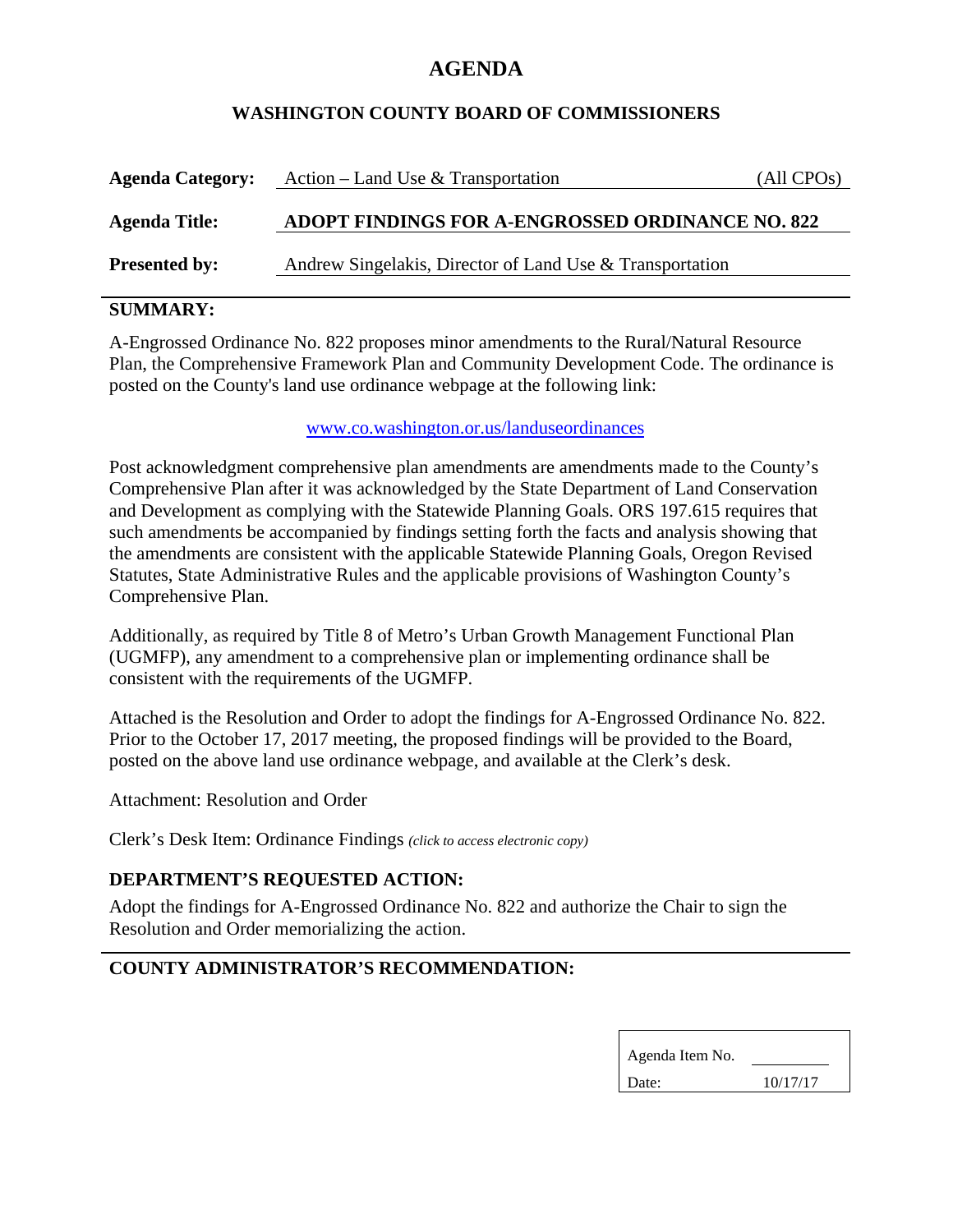# **AGENDA**

### **WASHINGTON COUNTY BOARD OF COMMISSIONERS**

| <b>Agenda Category:</b> | Action – Land Use & Transportation                       | (All CPOs) |
|-------------------------|----------------------------------------------------------|------------|
| <b>Agenda Title:</b>    | ADOPT FINDINGS FOR A-ENGROSSED ORDINANCE NO. 822         |            |
| <b>Presented by:</b>    | Andrew Singelakis, Director of Land Use & Transportation |            |

# **SUMMARY:**

A-Engrossed Ordinance No. 822 proposes minor amendments to the Rural/Natural Resource Plan, the Comprehensive Framework Plan and Community Development Code. The ordinance is posted on the County's land use ordinance webpage at the following link:

#### www.co.washington.or.us/landuseordinances

Post acknowledgment comprehensive plan amendments are amendments made to the County's Comprehensive Plan after it was acknowledged by the State Department of Land Conservation and Development as complying with the Statewide Planning Goals. ORS 197.615 requires that such amendments be accompanied by findings setting forth the facts and analysis showing that the amendments are consistent with the applicable Statewide Planning Goals, Oregon Revised Statutes, State Administrative Rules and the applicable provisions of Washington County's Comprehensive Plan.

Additionally, as required by Title 8 of Metro's Urban Growth Management Functional Plan (UGMFP), any amendment to a comprehensive plan or implementing ordinance shall be consistent with the requirements of the UGMFP.

Attached is the Resolution and Order to adopt the findings for A-Engrossed Ordinance No. 822. Prior to the October 17, 2017 meeting, the proposed findings will be provided to the Board, posted on the above land use ordinance webpage, and available at the Clerk's desk.

Attachment: Resolution and Order

Clerk's Desk Item: Ordinance Findings *(click to access electronic copy)*

### **DEPARTMENT'S REQUESTED ACTION:**

Adopt the findings for A-Engrossed Ordinance No. 822 and authorize the Chair to sign the Resolution and Order memorializing the action.

# **COUNTY ADMINISTRATOR'S RECOMMENDATION:**

| Agenda Item No. |          |  |
|-----------------|----------|--|
| Date:           | 10/17/17 |  |